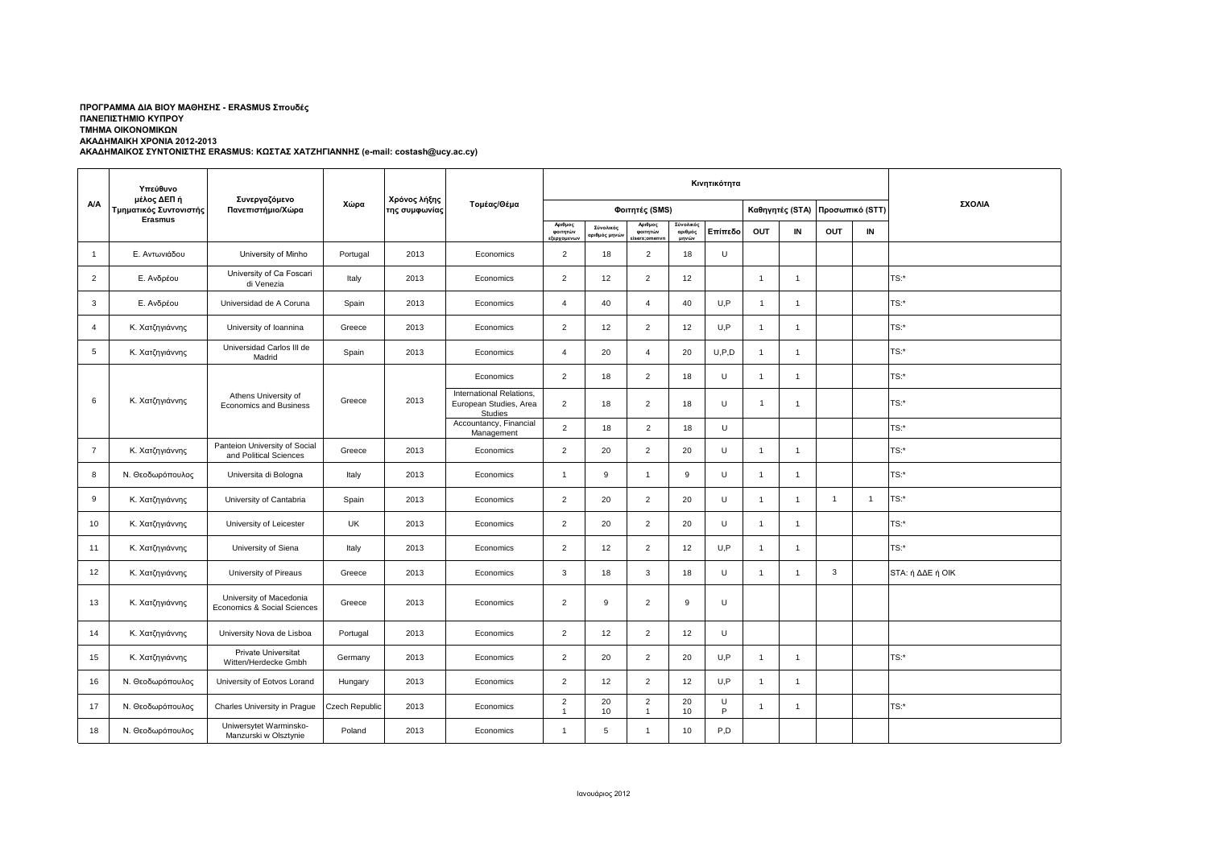## **ΑΚΑΔΗΜΑΙΚΟΣ ΣΥΝΤΟΝΙΣΤΗΣ ERASMUS: ΚΩΣΤΑΣ ΧΑΤΖΗΓΙΑΝΝΗΣ (e-mail: costash@ucy.ac.cy) ΠΡΟΓΡΑΜΜΑ ΔΙΑ ΒΙΟΥ ΜΑΘΗΣΗΣ - ERASMUS Σπουδές ΠΑΝΕΠΙΣΤΗΜΙΟ ΚΥΠΡΟΥ ΤΜΗΜΑ ΟΙΚΟΝΟΜΙΚΩΝ ΑΚΑΔΗΜΑΙΚΗ ΧΡΟΝΙΑ 2012-2013**

|                | Υπεύθυνο<br>μέλος ΔΕΠ ή<br>Τμηματικός Συντονιστής | Συνεργαζόμενο<br>Πανεπιστήμιο/Χώρα                      | Χώρα                  | Χρόνος λήξης<br>της συμφωνίας | Τομέας/Θέμα                                                          |                                    |                          |                                   | ΣΧΟΛΙΑ                        |         |                 |                |                 |                |                  |
|----------------|---------------------------------------------------|---------------------------------------------------------|-----------------------|-------------------------------|----------------------------------------------------------------------|------------------------------------|--------------------------|-----------------------------------|-------------------------------|---------|-----------------|----------------|-----------------|----------------|------------------|
| <b>A/A</b>     |                                                   |                                                         |                       |                               |                                                                      | Φοιτητές (SMS)                     |                          |                                   |                               |         | Καθηγητές (STA) |                | Προσωπικό (STT) |                |                  |
|                | Erasmus                                           |                                                         |                       |                               |                                                                      | Αριθμος<br>φοιτητών<br>:ξερχομενων | Σύνολικός<br>ριθμός μηνώ | Αριθμος<br>φοιτητών<br>iserx:omen | Σύνολικός<br>αριθμός<br>μηνών | Επίπεδο | OUT             | IN             | OUT             | IN             |                  |
| $\mathbf{1}$   | Ε. Αντωνιάδου                                     | University of Minho                                     | Portugal              | 2013                          | Economics                                                            | $\overline{2}$                     | 18                       | $\overline{2}$                    | 18                            | U       |                 |                |                 |                |                  |
| $\overline{2}$ | Ε. Ανδρέου                                        | University of Ca Foscari<br>di Venezia                  | Italy                 | 2013                          | Economics                                                            | $\overline{2}$                     | 12                       | $\overline{2}$                    | 12                            |         | $\mathbf{1}$    | $\overline{1}$ |                 |                | TS:*             |
| 3              | Ε. Ανδρέου                                        | Universidad de A Coruna                                 | Spain                 | 2013                          | Economics                                                            | $\overline{4}$                     | 40                       | $\overline{\mathbf{4}}$           | 40                            | U.P     | $\mathbf{1}$    | $\overline{1}$ |                 |                | $TS:$ *          |
| $\overline{4}$ | Κ. Χατζηγιάννης                                   | University of Ioannina                                  | Greece                | 2013                          | Economics                                                            | 2                                  | 12                       | $\overline{2}$                    | 12                            | U.P     | $\overline{1}$  | $\overline{1}$ |                 |                | $TS:$ *          |
| 5              | Κ. Χατζηγιάννης                                   | Universidad Carlos III de<br>Madrid                     | Spain                 | 2013                          | Economics                                                            | $\overline{4}$                     | 20                       | $\overline{4}$                    | 20                            | U, P, D | $\mathbf{1}$    | $\overline{1}$ |                 |                | $TS:$ *          |
|                |                                                   |                                                         |                       |                               | Economics                                                            | 2                                  | 18                       | 2                                 | 18                            | U       | $\overline{1}$  | $\mathbf{1}$   |                 |                | $TS:$ *          |
| 6              | Κ. Χατζηγιάννης                                   | Athens University of<br><b>Economics and Business</b>   | Greece                | 2013                          | International Relations,<br>European Studies, Area<br><b>Studies</b> | $\overline{2}$                     | 18                       | $\overline{2}$                    | 18                            | U       | $\overline{1}$  | -1             |                 |                | TS:*             |
|                |                                                   |                                                         |                       |                               | Accountancy, Financial<br>Management                                 | $\overline{2}$                     | 18                       | $\overline{2}$                    | 18                            | U       |                 |                |                 |                | $TS:$ *          |
| $\overline{7}$ | Κ. Χατζηγιάννης                                   | Panteion University of Social<br>and Political Sciences | Greece                | 2013                          | Economics                                                            | $\overline{2}$                     | 20                       | $\overline{2}$                    | 20                            | U       | $\overline{1}$  | -1             |                 |                | $TS:$ *          |
| 8              | Ν. Θεοδωρόπουλος                                  | Universita di Bologna                                   | Italy                 | 2013                          | Economics                                                            | $\overline{1}$                     | 9                        | $\overline{1}$                    | 9                             | U       | $\mathbf{1}$    | $\overline{1}$ |                 |                | $TS:$ *          |
| 9              | Κ. Χατζηγιάννης                                   | University of Cantabria                                 | Spain                 | 2013                          | Economics                                                            | $\overline{2}$                     | 20                       | $\overline{2}$                    | 20                            | U       | $\mathbf{1}$    | $\overline{1}$ | $\overline{1}$  | $\overline{1}$ | TS:*             |
| 10             | Κ. Χατζηγιάννης                                   | University of Leicester                                 | <b>UK</b>             | 2013                          | Economics                                                            | $\overline{2}$                     | 20                       | $\overline{2}$                    | 20                            | U       | $\mathbf{1}$    | $\overline{1}$ |                 |                | $TS:$ *          |
| 11             | Κ. Χατζηγιάννης                                   | University of Siena                                     | Italy                 | 2013                          | Economics                                                            | $\overline{2}$                     | 12                       | $\overline{2}$                    | 12                            | U.P     | $\mathbf{1}$    | $\overline{1}$ |                 |                | $TS:$ *          |
| 12             | Κ. Χατζηγιάννης                                   | University of Pireaus                                   | Greece                | 2013                          | Economics                                                            | 3                                  | 18                       | 3                                 | 18                            | U       | $\mathbf{1}$    | -1             | 3               |                | STA: ή ΔΔΕ ή ΟΙΚ |
| 13             | Κ. Χατζηγιάννης                                   | University of Macedonia<br>Economics & Social Sciences  | Greece                | 2013                          | Economics                                                            | $\overline{2}$                     | 9                        | $\overline{2}$                    | 9                             | U       |                 |                |                 |                |                  |
| 14             | Κ. Χατζηγιάννης                                   | University Nova de Lisboa                               | Portugal              | 2013                          | Economics                                                            | $\overline{2}$                     | 12                       | $\overline{2}$                    | 12                            | U       |                 |                |                 |                |                  |
| 15             | Κ. Χατζηγιάννης                                   | Private Universitat<br>Witten/Herdecke Gmbh             | Germany               | 2013                          | Economics                                                            | $\overline{2}$                     | 20                       | $\overline{2}$                    | 20                            | U, P    | $\overline{1}$  | $\overline{1}$ |                 |                | $TS:$ *          |
| 16             | Ν. Θεοδωρόπουλος                                  | University of Eotvos Lorand                             | Hungary               | 2013                          | Economics                                                            | $\overline{2}$                     | 12                       | $\overline{2}$                    | 12                            | U, P    | $\mathbf{1}$    | $\overline{1}$ |                 |                |                  |
| 17             | Ν. Θεοδωρόπουλος                                  | Charles University in Prague                            | <b>Czech Republic</b> | 2013                          | Economics                                                            | 2<br>$\overline{1}$                | 20<br>10                 | $\overline{2}$<br>$\overline{1}$  | 20<br>10                      | U<br>P  | $\mathbf{1}$    | $\mathbf 1$    |                 |                | $TS:$ *          |
| 18             | Ν. Θεοδωρόπουλος                                  | Uniwersytet Warminsko-<br>Manzurski w Olsztynie         | Poland                | 2013                          | Economics                                                            | $\mathbf{1}$                       | 5                        | $\overline{1}$                    | 10                            | P.D     |                 |                |                 |                |                  |